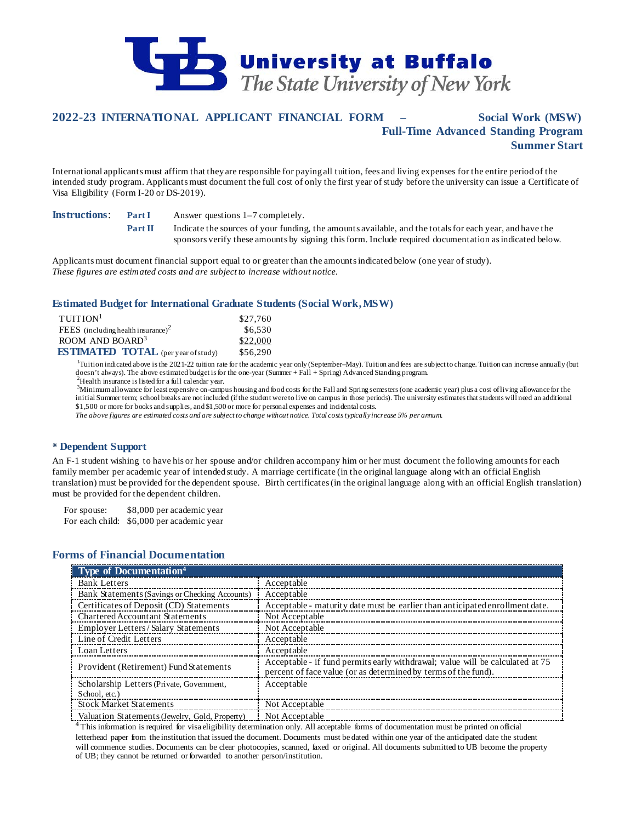

# **2022-23 INTERNATIONAL APPLICANT FINANCIAL FORM – Social Work (MSW) Full-Time Advanced Standing Program Summer Start**

International applicants must affirm that they are responsible for paying all tuition, fees and living expenses for the entire period of the intended study program. Applicants must document the full cost of only the first year of study before the university can issue a Certificate of Visa Eligibility (Form I-20 or DS-2019).

**Instructions**: **Part I** Answer questions 1–7 completely.

**Part II** Indicate the sources of your funding, the amounts available, and the totals for each year, and have the sponsors verify these amounts by signing this form. Include required documentation as indicated below.

Applicants must document financial support equal to or greater than the amounts indicated below (one year of study). *These figures are estimated costs and are subject to increase without notice.*

### **Estimated Budget for International Graduate Students (Social Work, MSW)**

| TUITION <sup>1</sup>                           | \$27,760 |
|------------------------------------------------|----------|
| FEES (including health insurance) <sup>2</sup> | \$6,530  |
| ROOM AND BOARD <sup>3</sup>                    | \$22,000 |
| <b>ESTIMATED TOTAL</b> (per year of study)     | \$56,290 |

<sup>1</sup>Tuition indicated above is the 2021-22 tuition rate for the academic year only (September–May). Tuition and fees are subject to change. Tuition can increase annually (but doesn't always). The above estimated budget is for the one-year (Summer + Fall + Spring) Advanced Standing program.  $^{2}$ Health insurance is listed for a full calendar year.

<sup>3</sup>Minimum allowance for least expensive on-campus housing and food costs for the Fall and Spring semesters (one academic year) plus a cost of living allowance for the initial Summer term; school breaks are not included (if the student were to live on campus in those periods). The university estimates that students will need an additional \$1,500 or more for books and supplies, and \$1,500 or more for personal expenses and incidental costs.

*The above figures are estimated costs and are subject to change without notice. Total costs typically increase 5% per annum.*

### **Dependent Support**

An F-1 student wishing to have his or her spouse and/or children accompany him or her must document the following amounts for each family member per academic year of intended study. A marriage certificate (in the original language along with an official English translation) must be provided for the dependent spouse. Birth certificates (in the original language along with an official English translation) must be provided for the dependent children.

For spouse: \$8,000 per academic year For each child: \$6,000 per academic year

## **Forms of Financial Documentation**

| <b>Type of Documentation</b> <sup>4</sup>      |                                                                                                                                                 |
|------------------------------------------------|-------------------------------------------------------------------------------------------------------------------------------------------------|
| <b>Bank Letters</b>                            | Acceptable                                                                                                                                      |
| Bank Statements (Savings or Checking Accounts) | Acceptable                                                                                                                                      |
| Certificates of Deposit (CD) Statements        | Acceptable - maturity date must be earlier than anticipated enrollment date.                                                                    |
| Chartered Accountant Statements                | Not Acceptable                                                                                                                                  |
| Employer Letters / Salary Statements           | Not Acceptable                                                                                                                                  |
| Line of Credit Letters                         | Acceptable                                                                                                                                      |
| Loan Letters                                   | Acceptable                                                                                                                                      |
| Provident (Retirement) Fund Statements         | Acceptable - if fund permits early withdrawal; value will be calculated at 75<br>percent of face value (or as determined by terms of the fund). |
| Scholarship Letters (Private, Government,      | Acceptable                                                                                                                                      |
| School, etc.)                                  |                                                                                                                                                 |
| <b>Stock Market Statements</b>                 | Not Acceptable                                                                                                                                  |
| Valuation Statements (Jewelry, Gold, Property) | Not Acceptable                                                                                                                                  |

 $4$  This information is required for visa eligibility determination only. All acceptable forms of documentation must be printed on official letterhead paper from the institution that issued the document. Documents must be dated within one year of the anticipated date the student will commence studies. Documents can be clear photocopies, scanned, faxed or original. All documents submitted to UB become the property of UB; they cannot be returned or forwarded to another person/institution.